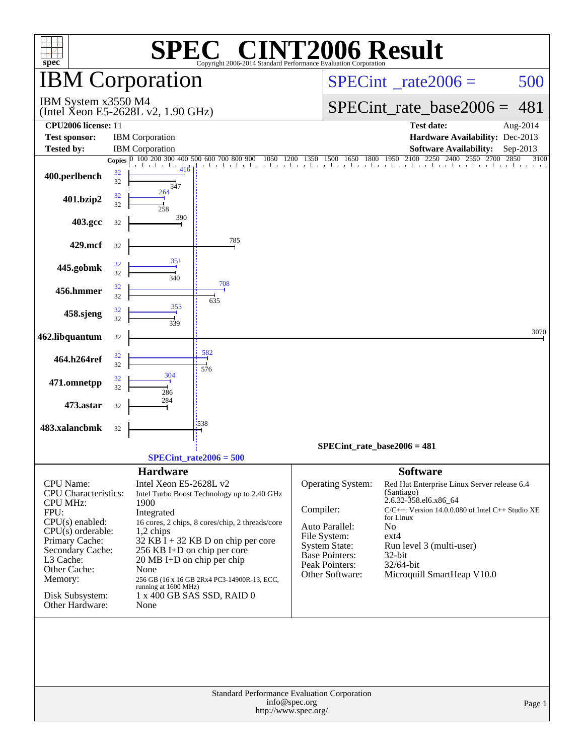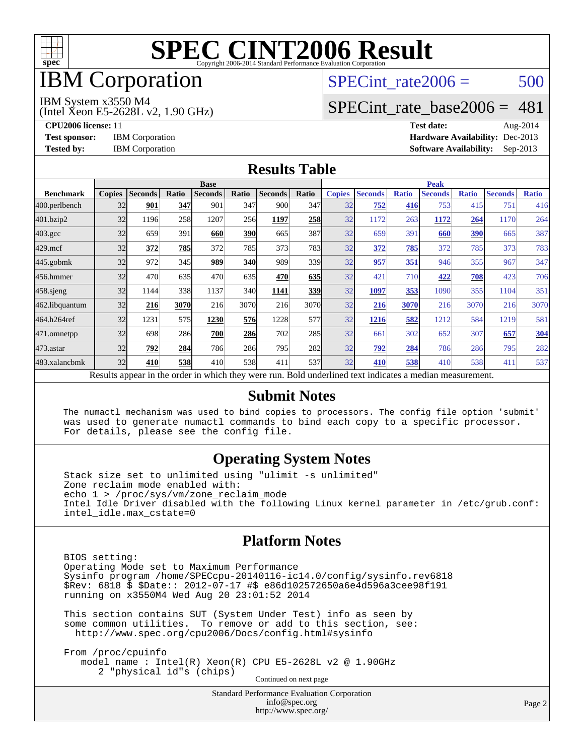

# **IBM** Corporation

## SPECint rate $2006 = 500$

#### IBM System x3550 M4

(Intel Xeon E5-2628L v2, 1.90 GHz)

[SPECint\\_rate\\_base2006 =](http://www.spec.org/auto/cpu2006/Docs/result-fields.html#SPECintratebase2006) 481

**[CPU2006 license:](http://www.spec.org/auto/cpu2006/Docs/result-fields.html#CPU2006license)** 11 **[Test date:](http://www.spec.org/auto/cpu2006/Docs/result-fields.html#Testdate)** Aug-2014 **[Test sponsor:](http://www.spec.org/auto/cpu2006/Docs/result-fields.html#Testsponsor)** IBM Corporation **[Hardware Availability:](http://www.spec.org/auto/cpu2006/Docs/result-fields.html#HardwareAvailability)** Dec-2013 **[Tested by:](http://www.spec.org/auto/cpu2006/Docs/result-fields.html#Testedby)** IBM Corporation **[Software Availability:](http://www.spec.org/auto/cpu2006/Docs/result-fields.html#SoftwareAvailability)** Sep-2013

### **[Results Table](http://www.spec.org/auto/cpu2006/Docs/result-fields.html#ResultsTable)**

|                  | <b>Base</b>   |                |              |                |            |                                                                                                          |       | <b>Peak</b>   |                |              |                |              |                |              |
|------------------|---------------|----------------|--------------|----------------|------------|----------------------------------------------------------------------------------------------------------|-------|---------------|----------------|--------------|----------------|--------------|----------------|--------------|
| <b>Benchmark</b> | <b>Copies</b> | <b>Seconds</b> | <b>Ratio</b> | <b>Seconds</b> | Ratio      | <b>Seconds</b>                                                                                           | Ratio | <b>Copies</b> | <b>Seconds</b> | <b>Ratio</b> | <b>Seconds</b> | <b>Ratio</b> | <b>Seconds</b> | <b>Ratio</b> |
| 400.perlbench    | 32            | 901            | 347          | 901            | 347        | 900                                                                                                      | 347   | 32            | 752            | 416          | 753            | 415          | 751            | 416          |
| 401.bzip2        | 32            | 1196           | 258          | 1207           | 256        | 1197                                                                                                     | 258   | 32            | 1172           | 263          | 1172           | 264          | 1170           | 264          |
| $403.\text{gcc}$ | 32            | 659            | 391          | 660            | <b>390</b> | 665                                                                                                      | 387   | 32            | 659            | 391          | 660            | 390          | 665            | 387          |
| $429$ .mcf       | 32            | 372            | 785          | 372            | 785        | 373                                                                                                      | 783   | 32            | 372            | 785          | 372            | 785          | 373            | 783          |
| $445$ .gobm $k$  | 32            | 972            | 345          | 989            | <b>340</b> | 989                                                                                                      | 339   | 32            | 957            | 351          | 946            | 355          | 967            | 347          |
| 456.hmmer        | 32            | 470            | 635          | 470            | 635        | 470                                                                                                      | 635   | 32            | 421            | 710          | 422            | 708          | 423            | 706          |
| $458$ .sjeng     | 32            | 1144           | 338          | 1137           | 340l       | 1141                                                                                                     | 339   | 32            | 1097           | 353          | 1090           | 355          | 1104           | 351          |
| 462.libquantum   | 32            | 216            | 3070         | 216            | 3070       | 216                                                                                                      | 3070  | 32            | 216            | 3070         | 216            | 3070         | 216            | 3070         |
| 464.h264ref      | 32            | 1231           | 575          | 1230           | 576        | 1228                                                                                                     | 577   | 32            | 1216           | 582          | 1212           | 584          | 1219           | 581          |
| 471.omnetpp      | 32            | 698            | 286          | 700            | 286        | 702                                                                                                      | 285   | 32            | 661            | 302          | 652            | 307          | 657            | 304          |
| $473$ . astar    | 32            | 792            | 284          | 786            | 286        | 795                                                                                                      | 282   | 32            | 792            | 284          | 786            | 286          | 795            | 282          |
| 483.xalancbmk    | 32            | 410            | 538          | 410            | 538l       | 411                                                                                                      | 537   | 32            | 410            | 538          | 410            | 538          | 411            | 537          |
|                  |               |                |              |                |            | Results appear in the order in which they were run. Bold underlined text indicates a median measurement. |       |               |                |              |                |              |                |              |

#### **[Submit Notes](http://www.spec.org/auto/cpu2006/Docs/result-fields.html#SubmitNotes)**

 The numactl mechanism was used to bind copies to processors. The config file option 'submit' was used to generate numactl commands to bind each copy to a specific processor. For details, please see the config file.

### **[Operating System Notes](http://www.spec.org/auto/cpu2006/Docs/result-fields.html#OperatingSystemNotes)**

 Stack size set to unlimited using "ulimit -s unlimited" Zone reclaim mode enabled with: echo 1 > /proc/sys/vm/zone\_reclaim\_mode Intel Idle Driver disabled with the following Linux kernel parameter in /etc/grub.conf: intel\_idle.max\_cstate=0

### **[Platform Notes](http://www.spec.org/auto/cpu2006/Docs/result-fields.html#PlatformNotes)**

 BIOS setting: Operating Mode set to Maximum Performance Sysinfo program /home/SPECcpu-20140116-ic14.0/config/sysinfo.rev6818 \$Rev: 6818 \$ \$Date:: 2012-07-17 #\$ e86d102572650a6e4d596a3cee98f191 running on x3550M4 Wed Aug 20 23:01:52 2014

 This section contains SUT (System Under Test) info as seen by some common utilities. To remove or add to this section, see: <http://www.spec.org/cpu2006/Docs/config.html#sysinfo>

 From /proc/cpuinfo model name : Intel(R) Xeon(R) CPU E5-2628L v2 @ 1.90GHz 2 "physical id"s (chips) Continued on next page

> Standard Performance Evaluation Corporation [info@spec.org](mailto:info@spec.org) <http://www.spec.org/>

Page 2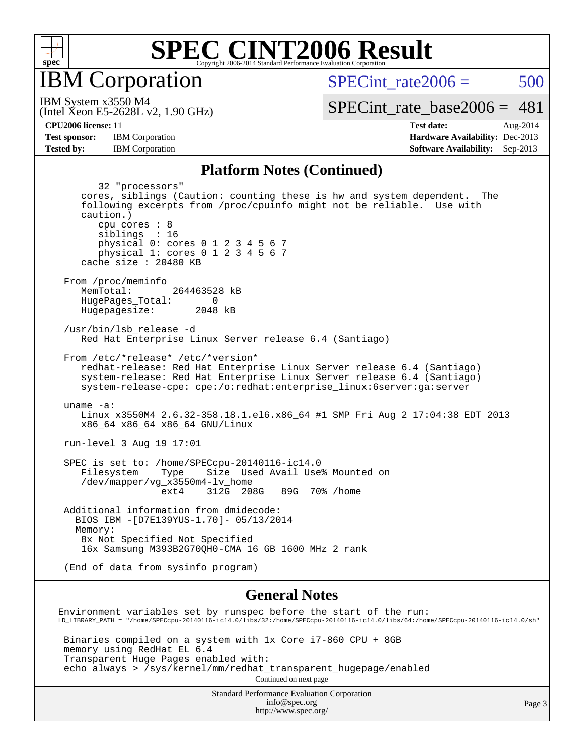

**IBM** Corporation

SPECint rate $2006 = 500$ 

(Intel Xeon E5-2628L v2, 1.90 GHz) IBM System x3550 M4

[SPECint\\_rate\\_base2006 =](http://www.spec.org/auto/cpu2006/Docs/result-fields.html#SPECintratebase2006)  $481$ 

**[CPU2006 license:](http://www.spec.org/auto/cpu2006/Docs/result-fields.html#CPU2006license)** 11 **[Test date:](http://www.spec.org/auto/cpu2006/Docs/result-fields.html#Testdate)** Aug-2014 **[Test sponsor:](http://www.spec.org/auto/cpu2006/Docs/result-fields.html#Testsponsor)** IBM Corporation **[Hardware Availability:](http://www.spec.org/auto/cpu2006/Docs/result-fields.html#HardwareAvailability)** Dec-2013 **[Tested by:](http://www.spec.org/auto/cpu2006/Docs/result-fields.html#Testedby)** IBM Corporation **[Software Availability:](http://www.spec.org/auto/cpu2006/Docs/result-fields.html#SoftwareAvailability)** Sep-2013

#### **[Platform Notes \(Continued\)](http://www.spec.org/auto/cpu2006/Docs/result-fields.html#PlatformNotes)**

 32 "processors" cores, siblings (Caution: counting these is hw and system dependent. The following excerpts from /proc/cpuinfo might not be reliable. Use with caution.) cpu cores : 8 siblings : 16 physical 0: cores 0 1 2 3 4 5 6 7 physical 1: cores 0 1 2 3 4 5 6 7 cache size : 20480 KB From /proc/meminfo MemTotal: 264463528 kB HugePages\_Total: 0<br>Hugepagesize: 2048 kB Hugepagesize: /usr/bin/lsb\_release -d Red Hat Enterprise Linux Server release 6.4 (Santiago) From /etc/\*release\* /etc/\*version\* redhat-release: Red Hat Enterprise Linux Server release 6.4 (Santiago) system-release: Red Hat Enterprise Linux Server release 6.4 (Santiago) system-release-cpe: cpe:/o:redhat:enterprise\_linux:6server:ga:server uname -a: Linux x3550M4 2.6.32-358.18.1.el6.x86\_64 #1 SMP Fri Aug 2 17:04:38 EDT 2013 x86\_64 x86\_64 x86\_64 GNU/Linux run-level 3 Aug 19 17:01 SPEC is set to: /home/SPECcpu-20140116-ic14.0 Filesystem Type Size Used Avail Use% Mounted on /dev/mapper/vg\_x3550m4-lv\_home ext4 312G 208G 89G 70% /home Additional information from dmidecode: BIOS IBM -[D7E139YUS-1.70]- 05/13/2014 Memory: 8x Not Specified Not Specified 16x Samsung M393B2G70QH0-CMA 16 GB 1600 MHz 2 rank (End of data from sysinfo program) **[General Notes](http://www.spec.org/auto/cpu2006/Docs/result-fields.html#GeneralNotes)** Environment variables set by runspec before the start of the run: LD\_LIBRARY\_PATH = "/home/SPECcpu-20140116-ic14.0/libs/32:/home/SPECcpu-20140116-ic14.0/libs/64:/home/SPECcpu-20140116-ic14.0/sh" Binaries compiled on a system with 1x Core i7-860 CPU + 8GB

 memory using RedHat EL 6.4 Transparent Huge Pages enabled with: echo always > /sys/kernel/mm/redhat\_transparent\_hugepage/enabled Continued on next page

> Standard Performance Evaluation Corporation [info@spec.org](mailto:info@spec.org) <http://www.spec.org/>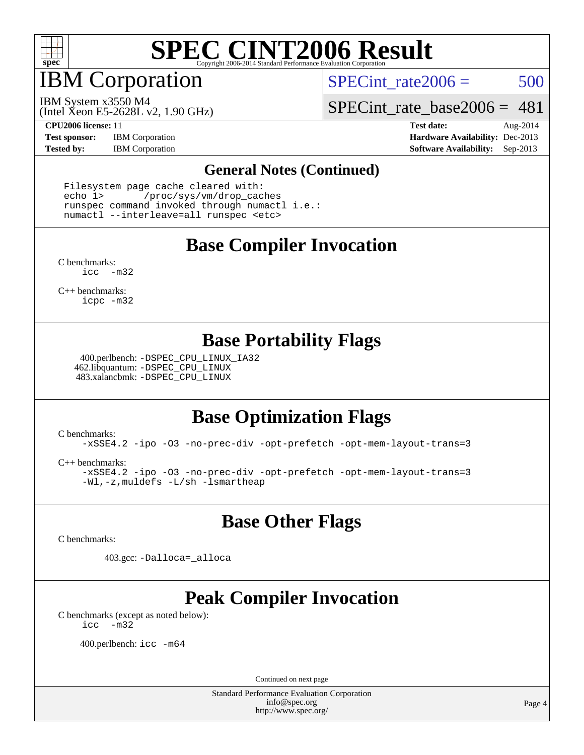

IBM Corporation

SPECint rate $2006 = 500$ 

(Intel Xeon E5-2628L v2, 1.90 GHz) IBM System x3550 M4

[SPECint\\_rate\\_base2006 =](http://www.spec.org/auto/cpu2006/Docs/result-fields.html#SPECintratebase2006) 481

**[Test sponsor:](http://www.spec.org/auto/cpu2006/Docs/result-fields.html#Testsponsor)** IBM Corporation **[Hardware Availability:](http://www.spec.org/auto/cpu2006/Docs/result-fields.html#HardwareAvailability)** Dec-2013

**[CPU2006 license:](http://www.spec.org/auto/cpu2006/Docs/result-fields.html#CPU2006license)** 11 **[Test date:](http://www.spec.org/auto/cpu2006/Docs/result-fields.html#Testdate)** Aug-2014 **[Tested by:](http://www.spec.org/auto/cpu2006/Docs/result-fields.html#Testedby)** IBM Corporation **[Software Availability:](http://www.spec.org/auto/cpu2006/Docs/result-fields.html#SoftwareAvailability)** Sep-2013

#### **[General Notes \(Continued\)](http://www.spec.org/auto/cpu2006/Docs/result-fields.html#GeneralNotes)**

 Filesystem page cache cleared with: echo 1> /proc/sys/vm/drop\_caches runspec command invoked through numactl i.e.: numactl --interleave=all runspec <etc>

## **[Base Compiler Invocation](http://www.spec.org/auto/cpu2006/Docs/result-fields.html#BaseCompilerInvocation)**

[C benchmarks](http://www.spec.org/auto/cpu2006/Docs/result-fields.html#Cbenchmarks): [icc -m32](http://www.spec.org/cpu2006/results/res2014q3/cpu2006-20140825-31010.flags.html#user_CCbase_intel_icc_5ff4a39e364c98233615fdd38438c6f2)

[C++ benchmarks:](http://www.spec.org/auto/cpu2006/Docs/result-fields.html#CXXbenchmarks) [icpc -m32](http://www.spec.org/cpu2006/results/res2014q3/cpu2006-20140825-31010.flags.html#user_CXXbase_intel_icpc_4e5a5ef1a53fd332b3c49e69c3330699)

### **[Base Portability Flags](http://www.spec.org/auto/cpu2006/Docs/result-fields.html#BasePortabilityFlags)**

 400.perlbench: [-DSPEC\\_CPU\\_LINUX\\_IA32](http://www.spec.org/cpu2006/results/res2014q3/cpu2006-20140825-31010.flags.html#b400.perlbench_baseCPORTABILITY_DSPEC_CPU_LINUX_IA32) 462.libquantum: [-DSPEC\\_CPU\\_LINUX](http://www.spec.org/cpu2006/results/res2014q3/cpu2006-20140825-31010.flags.html#b462.libquantum_baseCPORTABILITY_DSPEC_CPU_LINUX) 483.xalancbmk: [-DSPEC\\_CPU\\_LINUX](http://www.spec.org/cpu2006/results/res2014q3/cpu2006-20140825-31010.flags.html#b483.xalancbmk_baseCXXPORTABILITY_DSPEC_CPU_LINUX)

## **[Base Optimization Flags](http://www.spec.org/auto/cpu2006/Docs/result-fields.html#BaseOptimizationFlags)**

[C benchmarks](http://www.spec.org/auto/cpu2006/Docs/result-fields.html#Cbenchmarks):

[-xSSE4.2](http://www.spec.org/cpu2006/results/res2014q3/cpu2006-20140825-31010.flags.html#user_CCbase_f-xSSE42_f91528193cf0b216347adb8b939d4107) [-ipo](http://www.spec.org/cpu2006/results/res2014q3/cpu2006-20140825-31010.flags.html#user_CCbase_f-ipo) [-O3](http://www.spec.org/cpu2006/results/res2014q3/cpu2006-20140825-31010.flags.html#user_CCbase_f-O3) [-no-prec-div](http://www.spec.org/cpu2006/results/res2014q3/cpu2006-20140825-31010.flags.html#user_CCbase_f-no-prec-div) [-opt-prefetch](http://www.spec.org/cpu2006/results/res2014q3/cpu2006-20140825-31010.flags.html#user_CCbase_f-opt-prefetch) [-opt-mem-layout-trans=3](http://www.spec.org/cpu2006/results/res2014q3/cpu2006-20140825-31010.flags.html#user_CCbase_f-opt-mem-layout-trans_a7b82ad4bd7abf52556d4961a2ae94d5)

[C++ benchmarks:](http://www.spec.org/auto/cpu2006/Docs/result-fields.html#CXXbenchmarks)

[-xSSE4.2](http://www.spec.org/cpu2006/results/res2014q3/cpu2006-20140825-31010.flags.html#user_CXXbase_f-xSSE42_f91528193cf0b216347adb8b939d4107) [-ipo](http://www.spec.org/cpu2006/results/res2014q3/cpu2006-20140825-31010.flags.html#user_CXXbase_f-ipo) [-O3](http://www.spec.org/cpu2006/results/res2014q3/cpu2006-20140825-31010.flags.html#user_CXXbase_f-O3) [-no-prec-div](http://www.spec.org/cpu2006/results/res2014q3/cpu2006-20140825-31010.flags.html#user_CXXbase_f-no-prec-div) [-opt-prefetch](http://www.spec.org/cpu2006/results/res2014q3/cpu2006-20140825-31010.flags.html#user_CXXbase_f-opt-prefetch) [-opt-mem-layout-trans=3](http://www.spec.org/cpu2006/results/res2014q3/cpu2006-20140825-31010.flags.html#user_CXXbase_f-opt-mem-layout-trans_a7b82ad4bd7abf52556d4961a2ae94d5) [-Wl,-z,muldefs](http://www.spec.org/cpu2006/results/res2014q3/cpu2006-20140825-31010.flags.html#user_CXXbase_link_force_multiple1_74079c344b956b9658436fd1b6dd3a8a) [-L/sh -lsmartheap](http://www.spec.org/cpu2006/results/res2014q3/cpu2006-20140825-31010.flags.html#user_CXXbase_SmartHeap_32f6c82aa1ed9c52345d30cf6e4a0499)

## **[Base Other Flags](http://www.spec.org/auto/cpu2006/Docs/result-fields.html#BaseOtherFlags)**

[C benchmarks](http://www.spec.org/auto/cpu2006/Docs/result-fields.html#Cbenchmarks):

403.gcc: [-Dalloca=\\_alloca](http://www.spec.org/cpu2006/results/res2014q3/cpu2006-20140825-31010.flags.html#b403.gcc_baseEXTRA_CFLAGS_Dalloca_be3056838c12de2578596ca5467af7f3)

## **[Peak Compiler Invocation](http://www.spec.org/auto/cpu2006/Docs/result-fields.html#PeakCompilerInvocation)**

[C benchmarks \(except as noted below\)](http://www.spec.org/auto/cpu2006/Docs/result-fields.html#Cbenchmarksexceptasnotedbelow): [icc -m32](http://www.spec.org/cpu2006/results/res2014q3/cpu2006-20140825-31010.flags.html#user_CCpeak_intel_icc_5ff4a39e364c98233615fdd38438c6f2)

400.perlbench: [icc -m64](http://www.spec.org/cpu2006/results/res2014q3/cpu2006-20140825-31010.flags.html#user_peakCCLD400_perlbench_intel_icc_64bit_bda6cc9af1fdbb0edc3795bac97ada53)

Continued on next page

Standard Performance Evaluation Corporation [info@spec.org](mailto:info@spec.org) <http://www.spec.org/>

Page 4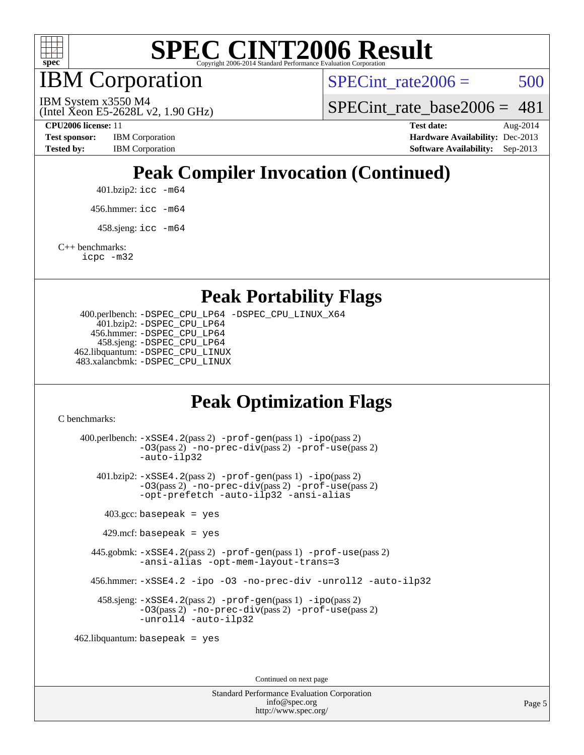

IBM Corporation

SPECint rate $2006 = 500$ 

(Intel Xeon E5-2628L v2, 1.90 GHz) IBM System x3550 M4

SPECint rate base  $2006 = 481$ 

**[Tested by:](http://www.spec.org/auto/cpu2006/Docs/result-fields.html#Testedby)** IBM Corporation **[Software Availability:](http://www.spec.org/auto/cpu2006/Docs/result-fields.html#SoftwareAvailability)** Sep-2013

**[CPU2006 license:](http://www.spec.org/auto/cpu2006/Docs/result-fields.html#CPU2006license)** 11 **[Test date:](http://www.spec.org/auto/cpu2006/Docs/result-fields.html#Testdate)** Aug-2014 **[Test sponsor:](http://www.spec.org/auto/cpu2006/Docs/result-fields.html#Testsponsor)** IBM Corporation **[Hardware Availability:](http://www.spec.org/auto/cpu2006/Docs/result-fields.html#HardwareAvailability)** Dec-2013

# **[Peak Compiler Invocation \(Continued\)](http://www.spec.org/auto/cpu2006/Docs/result-fields.html#PeakCompilerInvocation)**

401.bzip2: [icc -m64](http://www.spec.org/cpu2006/results/res2014q3/cpu2006-20140825-31010.flags.html#user_peakCCLD401_bzip2_intel_icc_64bit_bda6cc9af1fdbb0edc3795bac97ada53)

456.hmmer: [icc -m64](http://www.spec.org/cpu2006/results/res2014q3/cpu2006-20140825-31010.flags.html#user_peakCCLD456_hmmer_intel_icc_64bit_bda6cc9af1fdbb0edc3795bac97ada53)

 $458 \text{.}$ sjeng: icc  $-\text{m64}$ 

[C++ benchmarks:](http://www.spec.org/auto/cpu2006/Docs/result-fields.html#CXXbenchmarks)

[icpc -m32](http://www.spec.org/cpu2006/results/res2014q3/cpu2006-20140825-31010.flags.html#user_CXXpeak_intel_icpc_4e5a5ef1a53fd332b3c49e69c3330699)

**[Peak Portability Flags](http://www.spec.org/auto/cpu2006/Docs/result-fields.html#PeakPortabilityFlags)**

 400.perlbench: [-DSPEC\\_CPU\\_LP64](http://www.spec.org/cpu2006/results/res2014q3/cpu2006-20140825-31010.flags.html#b400.perlbench_peakCPORTABILITY_DSPEC_CPU_LP64) [-DSPEC\\_CPU\\_LINUX\\_X64](http://www.spec.org/cpu2006/results/res2014q3/cpu2006-20140825-31010.flags.html#b400.perlbench_peakCPORTABILITY_DSPEC_CPU_LINUX_X64) 401.bzip2: [-DSPEC\\_CPU\\_LP64](http://www.spec.org/cpu2006/results/res2014q3/cpu2006-20140825-31010.flags.html#suite_peakCPORTABILITY401_bzip2_DSPEC_CPU_LP64) 456.hmmer: [-DSPEC\\_CPU\\_LP64](http://www.spec.org/cpu2006/results/res2014q3/cpu2006-20140825-31010.flags.html#suite_peakCPORTABILITY456_hmmer_DSPEC_CPU_LP64) 458.sjeng: [-DSPEC\\_CPU\\_LP64](http://www.spec.org/cpu2006/results/res2014q3/cpu2006-20140825-31010.flags.html#suite_peakCPORTABILITY458_sjeng_DSPEC_CPU_LP64) 462.libquantum: [-DSPEC\\_CPU\\_LINUX](http://www.spec.org/cpu2006/results/res2014q3/cpu2006-20140825-31010.flags.html#b462.libquantum_peakCPORTABILITY_DSPEC_CPU_LINUX) 483.xalancbmk: [-DSPEC\\_CPU\\_LINUX](http://www.spec.org/cpu2006/results/res2014q3/cpu2006-20140825-31010.flags.html#b483.xalancbmk_peakCXXPORTABILITY_DSPEC_CPU_LINUX)

## **[Peak Optimization Flags](http://www.spec.org/auto/cpu2006/Docs/result-fields.html#PeakOptimizationFlags)**

[C benchmarks](http://www.spec.org/auto/cpu2006/Docs/result-fields.html#Cbenchmarks):

 400.perlbench: [-xSSE4.2](http://www.spec.org/cpu2006/results/res2014q3/cpu2006-20140825-31010.flags.html#user_peakPASS2_CFLAGSPASS2_LDCFLAGS400_perlbench_f-xSSE42_f91528193cf0b216347adb8b939d4107)(pass 2) [-prof-gen](http://www.spec.org/cpu2006/results/res2014q3/cpu2006-20140825-31010.flags.html#user_peakPASS1_CFLAGSPASS1_LDCFLAGS400_perlbench_prof_gen_e43856698f6ca7b7e442dfd80e94a8fc)(pass 1) [-ipo](http://www.spec.org/cpu2006/results/res2014q3/cpu2006-20140825-31010.flags.html#user_peakPASS2_CFLAGSPASS2_LDCFLAGS400_perlbench_f-ipo)(pass 2) [-O3](http://www.spec.org/cpu2006/results/res2014q3/cpu2006-20140825-31010.flags.html#user_peakPASS2_CFLAGSPASS2_LDCFLAGS400_perlbench_f-O3)(pass 2) [-no-prec-div](http://www.spec.org/cpu2006/results/res2014q3/cpu2006-20140825-31010.flags.html#user_peakPASS2_CFLAGSPASS2_LDCFLAGS400_perlbench_f-no-prec-div)(pass 2) [-prof-use](http://www.spec.org/cpu2006/results/res2014q3/cpu2006-20140825-31010.flags.html#user_peakPASS2_CFLAGSPASS2_LDCFLAGS400_perlbench_prof_use_bccf7792157ff70d64e32fe3e1250b55)(pass 2) [-auto-ilp32](http://www.spec.org/cpu2006/results/res2014q3/cpu2006-20140825-31010.flags.html#user_peakCOPTIMIZE400_perlbench_f-auto-ilp32) 401.bzip2: [-xSSE4.2](http://www.spec.org/cpu2006/results/res2014q3/cpu2006-20140825-31010.flags.html#user_peakPASS2_CFLAGSPASS2_LDCFLAGS401_bzip2_f-xSSE42_f91528193cf0b216347adb8b939d4107)(pass 2) [-prof-gen](http://www.spec.org/cpu2006/results/res2014q3/cpu2006-20140825-31010.flags.html#user_peakPASS1_CFLAGSPASS1_LDCFLAGS401_bzip2_prof_gen_e43856698f6ca7b7e442dfd80e94a8fc)(pass 1) [-ipo](http://www.spec.org/cpu2006/results/res2014q3/cpu2006-20140825-31010.flags.html#user_peakPASS2_CFLAGSPASS2_LDCFLAGS401_bzip2_f-ipo)(pass 2) [-O3](http://www.spec.org/cpu2006/results/res2014q3/cpu2006-20140825-31010.flags.html#user_peakPASS2_CFLAGSPASS2_LDCFLAGS401_bzip2_f-O3)(pass 2) [-no-prec-div](http://www.spec.org/cpu2006/results/res2014q3/cpu2006-20140825-31010.flags.html#user_peakPASS2_CFLAGSPASS2_LDCFLAGS401_bzip2_f-no-prec-div)(pass 2) [-prof-use](http://www.spec.org/cpu2006/results/res2014q3/cpu2006-20140825-31010.flags.html#user_peakPASS2_CFLAGSPASS2_LDCFLAGS401_bzip2_prof_use_bccf7792157ff70d64e32fe3e1250b55)(pass 2) [-opt-prefetch](http://www.spec.org/cpu2006/results/res2014q3/cpu2006-20140825-31010.flags.html#user_peakCOPTIMIZE401_bzip2_f-opt-prefetch) [-auto-ilp32](http://www.spec.org/cpu2006/results/res2014q3/cpu2006-20140825-31010.flags.html#user_peakCOPTIMIZE401_bzip2_f-auto-ilp32) [-ansi-alias](http://www.spec.org/cpu2006/results/res2014q3/cpu2006-20140825-31010.flags.html#user_peakCOPTIMIZE401_bzip2_f-ansi-alias)  $403.\text{gcc: basepeak}$  = yes  $429$ .mcf: basepeak = yes 445.gobmk: [-xSSE4.2](http://www.spec.org/cpu2006/results/res2014q3/cpu2006-20140825-31010.flags.html#user_peakPASS2_CFLAGSPASS2_LDCFLAGS445_gobmk_f-xSSE42_f91528193cf0b216347adb8b939d4107)(pass 2) [-prof-gen](http://www.spec.org/cpu2006/results/res2014q3/cpu2006-20140825-31010.flags.html#user_peakPASS1_CFLAGSPASS1_LDCFLAGS445_gobmk_prof_gen_e43856698f6ca7b7e442dfd80e94a8fc)(pass 1) [-prof-use](http://www.spec.org/cpu2006/results/res2014q3/cpu2006-20140825-31010.flags.html#user_peakPASS2_CFLAGSPASS2_LDCFLAGS445_gobmk_prof_use_bccf7792157ff70d64e32fe3e1250b55)(pass 2) [-ansi-alias](http://www.spec.org/cpu2006/results/res2014q3/cpu2006-20140825-31010.flags.html#user_peakCOPTIMIZE445_gobmk_f-ansi-alias) [-opt-mem-layout-trans=3](http://www.spec.org/cpu2006/results/res2014q3/cpu2006-20140825-31010.flags.html#user_peakCOPTIMIZE445_gobmk_f-opt-mem-layout-trans_a7b82ad4bd7abf52556d4961a2ae94d5) 456.hmmer: [-xSSE4.2](http://www.spec.org/cpu2006/results/res2014q3/cpu2006-20140825-31010.flags.html#user_peakCOPTIMIZE456_hmmer_f-xSSE42_f91528193cf0b216347adb8b939d4107) [-ipo](http://www.spec.org/cpu2006/results/res2014q3/cpu2006-20140825-31010.flags.html#user_peakCOPTIMIZE456_hmmer_f-ipo) [-O3](http://www.spec.org/cpu2006/results/res2014q3/cpu2006-20140825-31010.flags.html#user_peakCOPTIMIZE456_hmmer_f-O3) [-no-prec-div](http://www.spec.org/cpu2006/results/res2014q3/cpu2006-20140825-31010.flags.html#user_peakCOPTIMIZE456_hmmer_f-no-prec-div) [-unroll2](http://www.spec.org/cpu2006/results/res2014q3/cpu2006-20140825-31010.flags.html#user_peakCOPTIMIZE456_hmmer_f-unroll_784dae83bebfb236979b41d2422d7ec2) [-auto-ilp32](http://www.spec.org/cpu2006/results/res2014q3/cpu2006-20140825-31010.flags.html#user_peakCOPTIMIZE456_hmmer_f-auto-ilp32) 458.sjeng: [-xSSE4.2](http://www.spec.org/cpu2006/results/res2014q3/cpu2006-20140825-31010.flags.html#user_peakPASS2_CFLAGSPASS2_LDCFLAGS458_sjeng_f-xSSE42_f91528193cf0b216347adb8b939d4107)(pass 2) [-prof-gen](http://www.spec.org/cpu2006/results/res2014q3/cpu2006-20140825-31010.flags.html#user_peakPASS1_CFLAGSPASS1_LDCFLAGS458_sjeng_prof_gen_e43856698f6ca7b7e442dfd80e94a8fc)(pass 1) [-ipo](http://www.spec.org/cpu2006/results/res2014q3/cpu2006-20140825-31010.flags.html#user_peakPASS2_CFLAGSPASS2_LDCFLAGS458_sjeng_f-ipo)(pass 2) [-O3](http://www.spec.org/cpu2006/results/res2014q3/cpu2006-20140825-31010.flags.html#user_peakPASS2_CFLAGSPASS2_LDCFLAGS458_sjeng_f-O3)(pass 2) [-no-prec-div](http://www.spec.org/cpu2006/results/res2014q3/cpu2006-20140825-31010.flags.html#user_peakPASS2_CFLAGSPASS2_LDCFLAGS458_sjeng_f-no-prec-div)(pass 2) [-prof-use](http://www.spec.org/cpu2006/results/res2014q3/cpu2006-20140825-31010.flags.html#user_peakPASS2_CFLAGSPASS2_LDCFLAGS458_sjeng_prof_use_bccf7792157ff70d64e32fe3e1250b55)(pass 2) [-unroll4](http://www.spec.org/cpu2006/results/res2014q3/cpu2006-20140825-31010.flags.html#user_peakCOPTIMIZE458_sjeng_f-unroll_4e5e4ed65b7fd20bdcd365bec371b81f) [-auto-ilp32](http://www.spec.org/cpu2006/results/res2014q3/cpu2006-20140825-31010.flags.html#user_peakCOPTIMIZE458_sjeng_f-auto-ilp32) 462.libquantum: basepeak = yes

Continued on next page

Standard Performance Evaluation Corporation [info@spec.org](mailto:info@spec.org) <http://www.spec.org/>